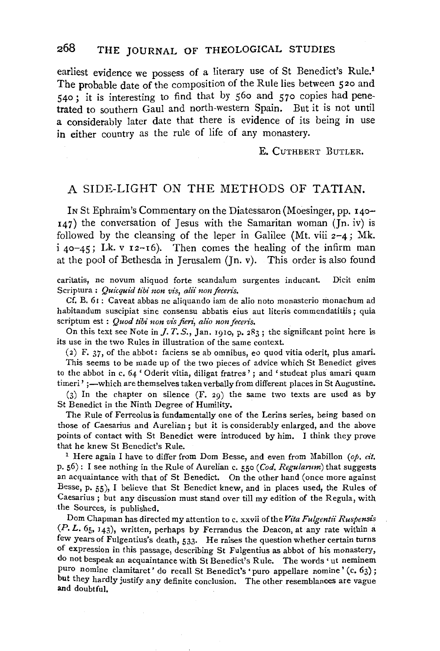earliest evidence we possess of a literary use of St Benedict's Rule.1 The probable date of the composition of the Rule lies between 520 and 540; it is interesting to find that by 560 and 570 copies had penetrated to southern Gaul and north-western Spain. But it is not until a considerably later date that there is evidence of its being in use in either country as the rule of life of any monastery.

E. CuTHBERT BuTLER.

## A SIDE-LIGHT ON THE METHODS OF TATIAN.

IN St Ephraim's Commentary on the Diatessaron (Moesinger, pp. 140-  $147$ ) the conversation of Jesus with the Samaritan woman (Jn. iv) is followed by the cleansing of the leper in Galilee (Mt. viii  $2-4$ ; Mk.  $i$  40-45; Lk. v 12-16). Then comes the healing of the infirm man at the pool of Bethesda in Jerusalem (Jn. v). This order is also found

caritatis, ne novum aliquod forte scandalum surgentes inducant. Dicit enim Scriptura : *Quicquid tibi non vis, alii non feceris.* 

Cf. B. 61 : Caveat abbas ne aliquando iam de alio noto monasterio monachum ad habitandum suscipiat sine consensu abbatis eius aut literis commendatitiis ; quia scriptum est : *Quod tibi non vis fieri*, alio non feceris.

On this text see Note in *J. T. S.*, Jan. 1910, p.  $283$ ; the significant point here is its use in the two Rules in illustration of the same context.

(2) F. 37, of the abbot: faciens se ab omnibus, eo quod vitia oderit, plus amari.

This seems to be made up of the two pieces of advice which St Benedict gives to the abbot in c. *64* ' Oderit vitia, diligat fratres' ; and 'studeat plus amari quam timeri' ;—which are themselves taken verbally from different places in St Augustine.

 $(3)$  In the chapter on silence  $(F, 29)$  the same two texts are used as by St Benedict in the Ninth Degree of Humility.

The Rule of Ferreolus is fundamentally one of the Lerins series, being based on those of Caesarius and Aurelian ; but it is considerably enlarged, and the above points of contact with St Benedict were introduced by him. I think they prove that he knew St Benedict's Rule.<br><sup>1</sup> Here again I have to differ from Dom Besse, and even from Mabillon *(op. cit.* 

p. 56): I see nothing in the Rule of Aurelian c. 550 *(Cod. Regularum)* that suggests an acquaintance with that of St Benedict. On the other hand (once more against Besse, p. 55), I believe that St Benedict knew, and in places used, the Rules of Caesarius ; but any discussion must stand over till my edition of the Regula, with the Sources, is published.

Dom Chapman has directed my attention to c. xxvii ofthe *Vita Fulgentii Ruspensis*   $(P. L. 65, 143)$ , written, perhaps by Ferrandus the Deacon, at any rate within a few years of Fulgentius's death, 533· He raises the question whether certain turns of expression in this passage, describing St Fulgentius as abbot of his monastery, do not bespeak an acquaintance with St Benedict's Rule. The words' ut neminem puro nomine clamitaret' do recall St Benedict's 'puro appellare nomine' (c. 63); but they hardly justify any definite conclusion. The other resemblances are vague and doubtful.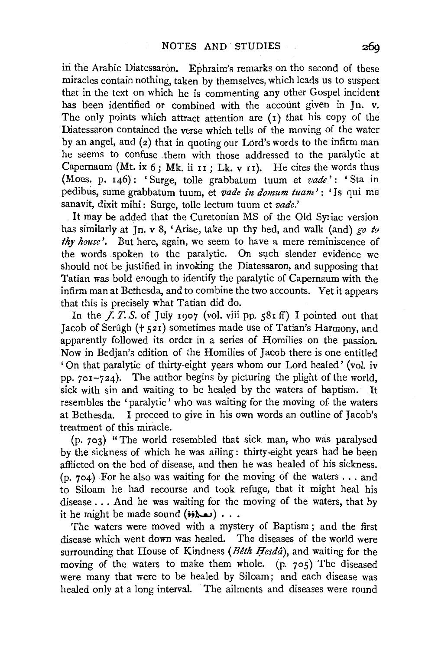iri the Arabic Diatessaron. Ephraim's remarks on the second of these miracles contain nothing, taken by themselves, which leads us to suspect that in the text on which he is commenting any other Gospel incident has been identified or combined with the account given in Jn. v. The only points which attract attention are  $(1)$  that his copy of the Diatessaron contained the verse which tells of the moving of the water by an angel, and (z) that in quoting our Lord's words to the infirm man he seems to confuse them with those addressed to the paralytic at Capernaum (Mt. ix  $6$ ; Mk. ii II ; Lk. v II). He cites the words thus (Moes. p. 146) : ' Surge, toile grabbatum tuum et *vade'* : ' Sta in pedibus, sume grabbatum tuum, et *vade in domum tuam* ': 'Is qui me sanavit, dixit mihi : Surge, toile lectum tuum et *vade.'* 

. It may be added that the Curetonian MS of the Old Syriac version has similarly at Jn. v 8, 'Arise, take up thy bed, and walk (and) *go to thy house'.* But here, again, we seem to have a mere reminiscence of the words spoken to the paralytic. On such slender evidence we should not be justified in invoking the Diatessaron, and supposing that Tatian was bold enough to identify the paralytic of Capernaum with the infirm man at Bethesda, and to combine the two accounts. Yet it appears that this is precisely what Tatian did do.

In the  $\overline{I}$ ,  $\overline{I}$ .  $S$ . of July 1907 (vol. viii pp. 581 ff) I pointed out that Jacob of Serûgh ( $\pm$  521) sometimes made use of Tatian's Harmony, and apparently followed its order in a series of Homilies on the passion. Now in Bedjan's edition of the Homilies of Jacob there is one entitled 'On that paralytic of thirty-eight years whom our Lord healed' (vol. iv pp.  $701-724$ ). The author begins by picturing the plight of the world. sick with sin and waiting to be healed by the waters of baptism. It resembles the 'paralytic' who was waiting for the moving of the waters at Bethesda. I proceed to give in his own words an outline of Jacob's treatment of this miracle.

(p. 703) "The world resembled that sick man, who was paralysed by the sickness of which he was ailing: thirty-eight years had he been afflicted on the bed of disease, and then he was healed of his sickness.  $(p, 704)$  For he also was waiting for the moving of the waters ... and to Siloam he had recourse and took refuge, that it might heal his disease ... And he was waiting for the moving of the waters, that by it he might be made sound  $(i)$ ...

The waters were moved with a mystery of Baptism ; and the first disease which went down was healed. The diseases of the world were surrounding that House of Kindness (Bêth Hesdâ), and waiting for the moving of the waters to make them whole. (p. 705) The diseased were many that were to be healed by Siloam; and each disease was healed only at a long interval. The ailments and diseases were round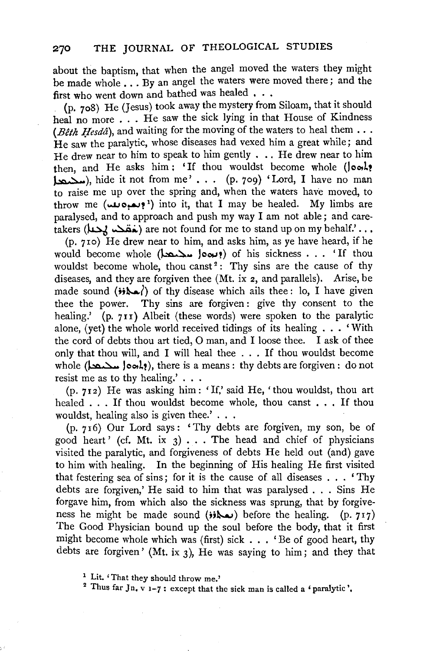about the baptism, that when the angel moved the waters they might be made whole . . . By an angel the waters were moved there; and the first who went down and bathed was healed . . .

(p. 7o8) He (Jesus) took away the mystery from Siloam, that it should heal no more ... He saw the sick lying in that House of Kindness *(Bêth Hesdâ)*, and waiting for the moving of the waters to heal them  $\ldots$ He saw the paralytic, whose diseases had vexed him a great while; and He drew near to him to speak to him gently . . . He drew near to him then, and He asks him: 'If thou wouldst become whole (look!  $\sum$ ), hide it not from me' ... (p. 709) 'Lord, I have no man to raise me up over the spring and, when the waters have moved, to throw me (بعبوملله) into it, that I may be healed. My limbs are paralysed, and to approach and push my way I am not able; and caretakers (خقمہ  $\lambda$ حما) are not found for me to stand up on my behalf.'...

(p. 710) He drew near to him, and asks him, as ye have heard, if he would become whole (بعدها المحتمد) of his sickness . . . 'If thou wouldst become whole, thou canst<sup>2</sup>: Thy sins are the cause of thy diseases, and they are forgiven thee (Mt. ix 2, and parallels). Arise, be made sound  $(i)$ . () of thy disease which ails thee: lo, I have given thee the power. Thy sins are forgiven: give thy consent to the healing.' (p. 711) Albeit (these words) were spoken to the paralytic alone, (yet) the whole world received tidings of its healing  $\ldots$  'With the cord of debts thou art tied, 0 man, and I loose thee. I ask of thee only that thou will, and I will heal thee ... If thou wouldst become whole ( $\Delta\omega$  )ook?), there is a means: thy debts are forgiven: do not resist me as to thy healing.' . . .

 $(p. 712)$  He was asking him: 'If,' said He, 'thou wouldst, thou art healed . . . If thou wouldst become whole, thou canst . . . If thou wouldst, healing also is given thee.'...

(p. 7 16) Our Lord says: 'Thy debts are forgiven, my son, be of good heart' (cf. Mt. ix  $3)$ ... The head and chief of physicians visited the paralytic, and forgiveness of debts He held out (and) gave to him with healing. In the beginning of His healing He first visited that festering sea of sins; for it is the cause of all diseases . . . ' Thy debts are forgiven,' He said to him that was paralysed . . . Sins He forgave him, from which also the sickness was sprung, that by forgiveness he might be made sound  $(i)$  before the healing. (p. 717) The Good Physician bound up the soul before the body, that it first might become whole which was (first) sick  $\ldots$  'Be of good heart, thy debts are forgiven' (Mt. ix 3), He was saying to him; and they that

<sup>1</sup> Lit. 'That they should throw me.' <sup>2</sup> Thus far Jn, v  $1-7$ : except that the sick man is called a 'paralytic'.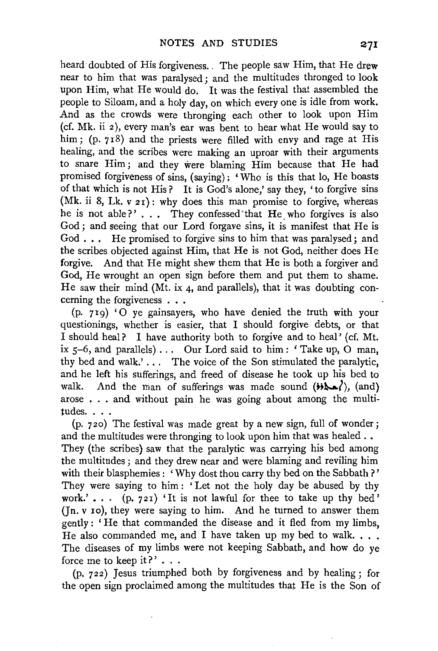heard doubted of His forgiveness. The people saw Him, that He drew near to him that was paralysed; and the multitudes thronged to look upon Him, what He would do. It was the festival that assembled the people to Siloam, and a holy day, on which every one is idle from work. And as the crowds were thronging each other to look upon Him (cf. Mk. ii 2), every man's ear was bent to hear what He would say to him; (p. 718) and the priests were filled with envy and rage at His healing, and the scribes were making an uproar with their arguments to snare Him ; and they were blaming Him because that He had promised forgiveness of sins, (saying); 'Who is this that lo, He boasts of that which is not His? It is God's alone,' say they, 'to forgive sins (Mk. ii 8, Lk.  $v\,21$ ): why does this man promise to forgive, whereas he is not able?'... They confessed that He who forgives is also God; and seeing that our Lord forgave sins, it is manifest that He is God . . . He promised to forgive sins to him that was paralysed; and the scribes objected against Him, that He is not God, neither does He forgive. And that He might shew them that He is both a forgiver and God, He wrought an open sign before them and put them to shame. He saw their mind (Mt. ix 4, and parallels), that it was doubting concerning the forgiveness . . .

(p. 719) '0 ye gainsayers, who have denied the truth with your questionings, whether is easier, that I should forgive debts, or that I should heal? I have authority both to forgive and to heal' (cf. Mt. ix  $5-6$ , and parallels) . . . Our Lord said to him: 'Take up, O man, thy bed and walk.'... The voice of the Son stimulated the paralytic, and he left his sufferings, and freed of disease he took up his bed to walk. And the man of sufferings was made sound  $(i \cdot \lambda \cdot \cdot)$ , (and) arose  $\ldots$  and without pain he was going about among the multitudes. . . .

(p. 720) The festival was made great by a new sign, full of wonder; and the multitudes were thronging to look upon him that was healed . . They (the scribes) saw that the paralytic was carrying his bed among the multitudes ; and they drew near and were blaming and reviling him with their blasphemies : 'Why dost thou carry thy bed on the Sabbath?' They were saying to him : ' Let not the holy day be abused by thy work.'...  $(p, 721)$  'It is not lawful for thee to take up thy bed' (Jn. v 1o), they were saying to him. And he turned to answer them gently : 'He that commanded the disease and it fled from my limbs, He also commanded me, and I have taken up my bed to walk.  $\ldots$ The diseases of my limbs were not keeping Sabbath, and how do ye force me to keep it?'  $\ldots$ 

(p. 722) Jesus triumphed both by forgiveness and by healing; for the open sign proclaimed among the multitudes that He is the Son of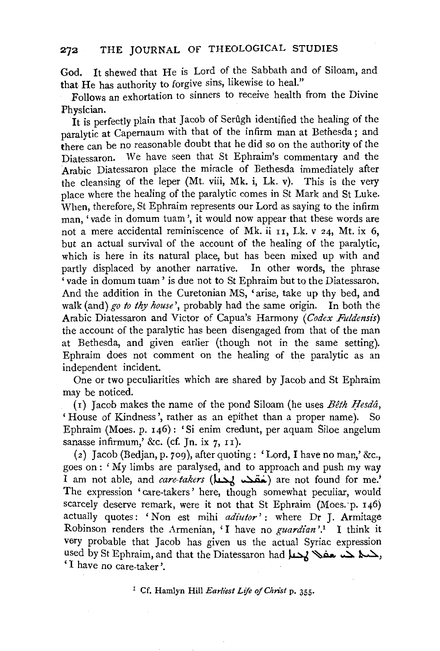God. It shewed that He is Lord of the Sabbath and of Siloam, and that He has authority to forgive sins, likewise to heal."

Follows an exhortation to sinners to receive health from the Divine Physician.

It is perfectly plain that Jacob of Serugh identified the healing of the paralytic at Capernaum with that of the infirm man at Bethesda; and there can be no reasonable doubt that he did so on the authority of the Diatessaron. We have seen that St Ephraim's commentary and the Arabic Diatessaron place the miracle of Bethesda immediately after the cleansing of the leper (Mt. viii, Mk. i, Lk. v). This is the very place where the healing of the paralytic comes in St Mark and St Luke. When, therefore, St Ephraim represents our Lord as saying to the infirm man, 'vade in domum tuam ', it would now appear that these words are not a mere accidental reminiscence of Mk. ii  $11$ , Lk. v 24, Mt. ix 6, but an actual survival of the account of the healing of the paralytic, which is here in its natural place, but has been mixed up with and partly displaced by another narrative. In other words, the phrase ' vade in domum tuam ' is due not to St Ephraim but to the Diatessaron. And the addition in the Curetonian MS, 'arise, take up thy bed, and walk (and) *go to thy house',* probably had the same origin. In both the Arabic Diatessaron and Victor of Capua's Harmony *(Codex Fuldensi's)*  the account of the paralytic has been disengaged from that of the man at Bethesda, and given earlier (though not in the same setting). Ephraim does not comment on the healing of the paralytic as an independent incident.

One or two peculiarities which are shared by Jacob and St Ephraim may be noticed.

( $i$ ) Jacob makes the name of the pond Siloam (he uses *Bêth Hesdâ*, 'House of Kindness', rather as an epithet than a proper name). So Ephraim (Moes. p. 146) : 'Si enim credunt, per aquam Siloe angelum sanasse infirmum,' &c. (cf. In. ix  $7$ ,  $11$ ).

(z) Jacob (Bedjan, p. 7og), after quoting: 'Lord, I have no man,' &c., goes on: 'My limbs are paralysed, and to approach and push my way I am not able, and *care-takers* (شقهها are not found for me.' The expression 'care-takers' here, though somewhat peculiar, would scarcely deserve remark, were it not that St Ephraim (Moes. p. 146) actually quotes: 'Non est mihi *adiutor':* where Dr J. Armitage Robinson renders the Armenian, 'I have no *guardian* '.1 I think it very probable that Jacob has given us the actual Syriac expression used by St Ephraim, and that the Diatessaron had جمعه حسد حضا لله عليه السلام السلام لله عليه السلام لله عليه 'I have no care-taker'.

1 Cf. Hamlyn Hill *Earliest Life of Christ* p. 355·